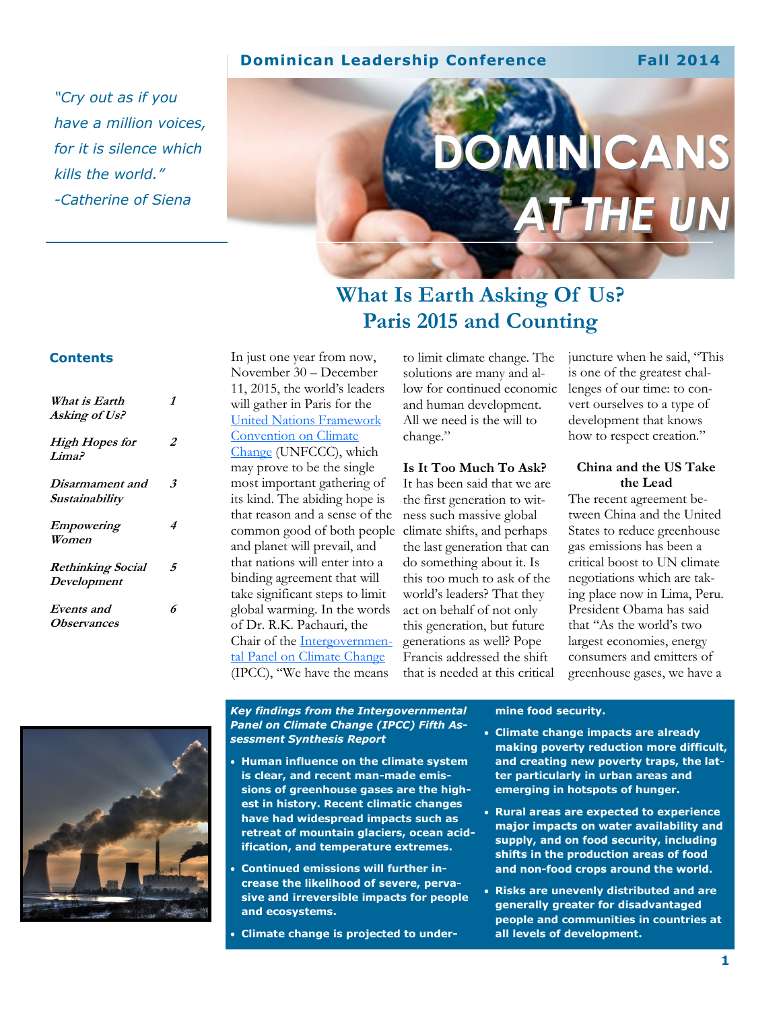### **Dominican Leadership Conference Fall 2014**

*"Cry out as if you have a million voices, for it is silence which kills the world." -Catherine of Siena*

# **DMINICANS** *AT THE UN*

## **What Is Earth Asking Of Us? Paris 2015 and Counting**

#### **Contents**

| What is Earth<br>Asking of Us?             | 1  |
|--------------------------------------------|----|
| <b>High Hopes for</b><br>Lima <sup>5</sup> | 2  |
| <i>Disarmament and</i><br>Sustainability   | 3. |
| <b>Empowering</b><br>Women                 | 4  |
| <b>Rethinking Social</b><br>Development    | 5  |
| Events and<br><i>Observances</i>           | 6  |

In just one year from now, November 30 – December 11, 2015, the world's leaders will gather in Paris for the [United Nations Framework](http://unfccc.int/2860.php)  [Convention on Climate](http://unfccc.int/2860.php)  [Change](http://unfccc.int/2860.php) (UNFCCC), which may prove to be the single most important gathering of its kind. The abiding hope is that reason and a sense of the common good of both people and planet will prevail, and that nations will enter into a binding agreement that will take significant steps to limit global warming. In the words of Dr. R.K. Pachauri, the Chair of the [Intergovernmen](http://www.ipcc.ch/)[tal Panel on Climate Change](http://www.ipcc.ch/) (IPCC), "We have the means

to limit climate change. The solutions are many and allow for continued economic and human development. All we need is the will to change."

#### **Is It Too Much To Ask?**

It has been said that we are the first generation to witness such massive global climate shifts, and perhaps the last generation that can do something about it. Is this too much to ask of the world's leaders? That they act on behalf of not only this generation, but future generations as well? Pope Francis addressed the shift that is needed at this critical juncture when he said, "This is one of the greatest challenges of our time: to convert ourselves to a type of development that knows how to respect creation."

#### **China and the US Take the Lead**

The recent agreement between China and the United States to reduce greenhouse gas emissions has been a critical boost to UN climate negotiations which are taking place now in Lima, Peru. President Obama has said that "As the world's two largest economies, energy consumers and emitters of greenhouse gases, we have a



*Key findings from the Intergovernmental Panel on Climate Change (IPCC) Fifth Assessment Synthesis Report*

- **Human influence on the climate system is clear, and recent man-made emissions of greenhouse gases are the highest in history. Recent climatic changes have had widespread impacts such as retreat of mountain glaciers, ocean acidification, and temperature extremes.**
- **Continued emissions will further increase the likelihood of severe, pervasive and irreversible impacts for people and ecosystems.**
- **Climate change is projected to under-**

#### **mine food security.**

- **Climate change impacts are already making poverty reduction more difficult, and creating new poverty traps, the latter particularly in urban areas and emerging in hotspots of hunger.**
- **Rural areas are expected to experience major impacts on water availability and supply, and on food security, including shifts in the production areas of food and non-food crops around the world.**
- **Risks are unevenly distributed and are generally greater for disadvantaged people and communities in countries at all levels of development.**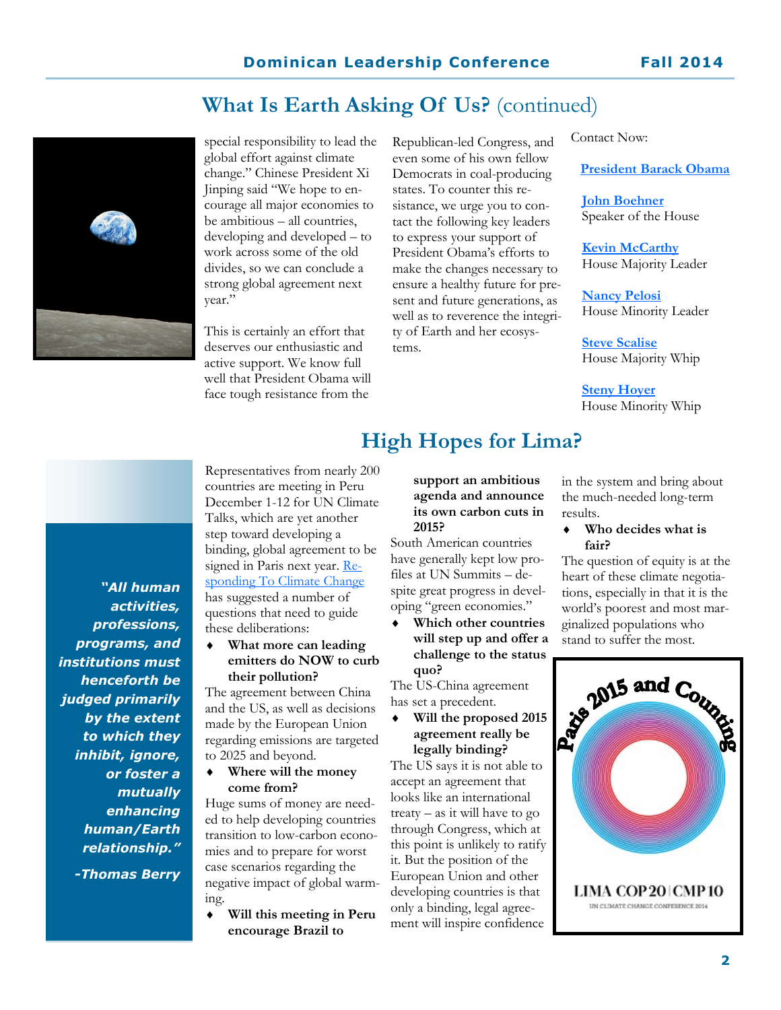## **What Is Earth Asking Of Us?** (continued)



special responsibility to lead the global effort against climate change." Chinese President Xi Jinping said "We hope to encourage all major economies to be ambitious – all countries, developing and developed – to work across some of the old divides, so we can conclude a strong global agreement next year."

This is certainly an effort that deserves our enthusiastic and active support. We know full well that President Obama will face tough resistance from the

Republican-led Congress, and even some of his own fellow Democrats in coal-producing states. To counter this resistance, we urge you to contact the following key leaders to express your support of President Obama's efforts to make the changes necessary to ensure a healthy future for present and future generations, as well as to reverence the integrity of Earth and her ecosystems.

Contact Now:

**[President Barack Obama](http://www.whitehouse.gov/contact)**

**[John Boehner](http://www.speaker.gov/contact)** Speaker of the House

**[Kevin McCarthy](http://kevinmccarthy.house.gov/contact)** House Majority Leader

**[Nancy Pelosi](http://www.democraticleader.gov/contact-us/)** House Minority Leader

**[Steve Scalise](https://scaliseforms.house.gov/contact/)** House Majority Whip

**[Steny Hoyer](http://www.democraticwhip.gov/content/email-whip)** House Minority Whip

*"All human activities, professions, programs, and institutions must henceforth be judged primarily by the extent to which they inhibit, ignore, or foster a mutually enhancing human/Earth relationship." -Thomas Berry*

Representatives from nearly 200 countries are meeting in Peru December 1-12 for UN Climate Talks, which are yet another step toward developing a binding, global agreement to be signed in Paris next year. [Re](http://www.rtcc.org/)[sponding To Climate Change](http://www.rtcc.org/) has suggested a number of questions that need to guide these deliberations:

 **What more can leading emitters do NOW to curb their pollution?**

The agreement between China and the US, as well as decisions made by the European Union regarding emissions are targeted to 2025 and beyond.

 **Where will the money come from?**

Huge sums of money are needed to help developing countries transition to low-carbon economies and to prepare for worst case scenarios regarding the negative impact of global warming.

 **Will this meeting in Peru encourage Brazil to** 

**support an ambitious agenda and announce its own carbon cuts in** 

**High Hopes for Lima?**

**2015?** South American countries have generally kept low profiles at UN Summits – despite great progress in developing "green economies."

 **Which other countries will step up and offer a challenge to the status quo?**

The US-China agreement has set a precedent.

 **Will the proposed 2015 agreement really be legally binding?**

The US says it is not able to accept an agreement that looks like an international treaty – as it will have to go through Congress, which at this point is unlikely to ratify it. But the position of the European Union and other developing countries is that only a binding, legal agreement will inspire confidence

in the system and bring about the much-needed long-term results.

#### **Who decides what is fair?**

The question of equity is at the heart of these climate negotiations, especially in that it is the world's poorest and most marginalized populations who stand to suffer the most.

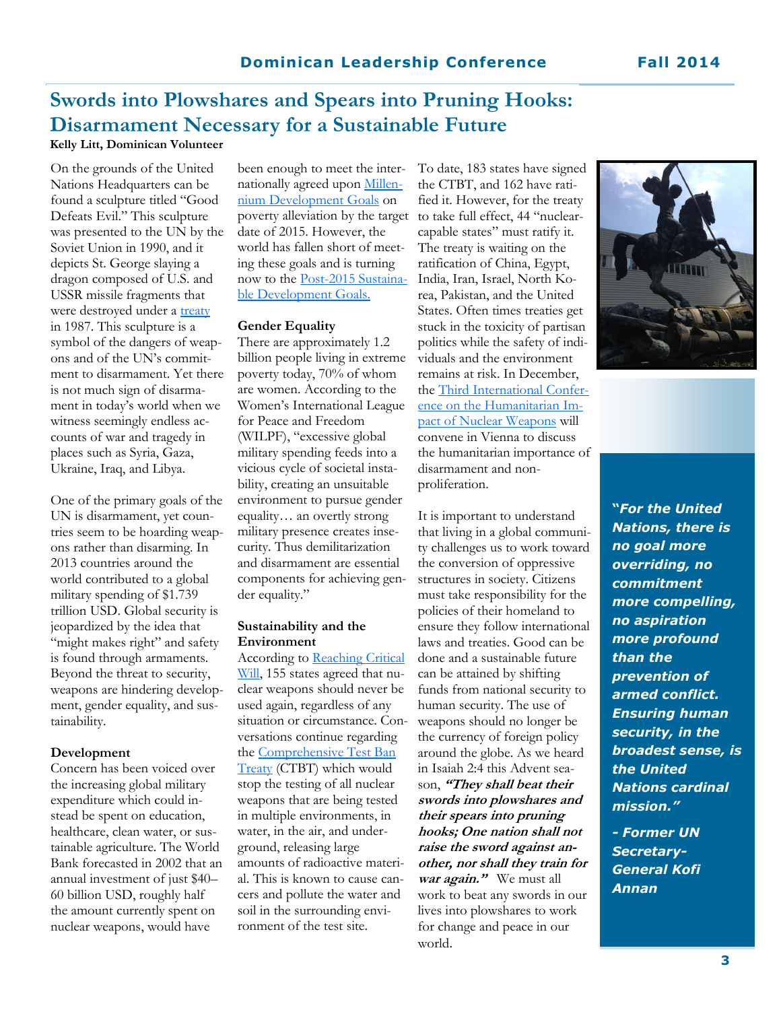## **Swords into Plowshares and Spears into Pruning Hooks: Disarmament Necessary for a Sustainable Future**

**Kelly Litt, Dominican Volunteer**

On the grounds of the United Nations Headquarters can be found a sculpture titled "Good Defeats Evil." This sculpture was presented to the UN by the Soviet Union in 1990, and it depicts St. George slaying a dragon composed of U.S. and USSR missile fragments that were destroyed under a [treaty](http://www.armscontrol.org/factsheets/INFtreaty) in 1987. This sculpture is a symbol of the dangers of weapons and of the UN's commitment to disarmament. Yet there is not much sign of disarmament in today's world when we witness seemingly endless accounts of war and tragedy in places such as Syria, Gaza, Ukraine, Iraq, and Libya.

One of the primary goals of the UN is disarmament, yet countries seem to be hoarding weapons rather than disarming. In 2013 countries around the world contributed to a global military spending of \$1.739 trillion USD. Global security is jeopardized by the idea that "might makes right" and safety is found through armaments. Beyond the threat to security, weapons are hindering development, gender equality, and sustainability.

#### **Development**

Concern has been voiced over the increasing global military expenditure which could instead be spent on education, healthcare, clean water, or sustainable agriculture. The World Bank forecasted in 2002 that an annual investment of just \$40– 60 billion USD, roughly half the amount currently spent on nuclear weapons, would have

been enough to meet the internationally agreed upon [Millen](http://www.un.org/millenniumgoals/)[nium Development Goals](http://www.un.org/millenniumgoals/) on poverty alleviation by the target date of 2015. However, the world has fallen short of meeting these goals and is turning now to the [Post-2015 Sustaina](http://sustainabledevelopment.un.org/sdgsproposal.html)[ble Development Goals.](http://sustainabledevelopment.un.org/sdgsproposal.html) 

#### **Gender Equality**

There are approximately 1.2 billion people living in extreme poverty today, 70% of whom are women. According to the Women's International League for Peace and Freedom (WILPF), "excessive global military spending feeds into a vicious cycle of societal instability, creating an unsuitable environment to pursue gender equality… an overtly strong military presence creates insecurity. Thus demilitarization and disarmament are essential components for achieving gender equality."

#### **Sustainability and the Environment**

According to Reaching Critical [Will,](http://www.reachingcriticalwill.org/) 155 states agreed that nuclear weapons should never be used again, regardless of any situation or circumstance. Conversations continue regarding the [Comprehensive Test Ban](http://www.ctbto.org/the-treaty/)  [Treaty](http://www.ctbto.org/the-treaty/) (CTBT) which would stop the testing of all nuclear weapons that are being tested in multiple environments, in water, in the air, and underground, releasing large amounts of radioactive material. This is known to cause cancers and pollute the water and soil in the surrounding environment of the test site.

To date, 183 states have signed the CTBT, and 162 have ratified it. However, for the treaty to take full effect, 44 "nuclearcapable states" must ratify it. The treaty is waiting on the ratification of China, Egypt, India, Iran, Israel, North Korea, Pakistan, and the United States. Often times treaties get stuck in the toxicity of partisan politics while the safety of individuals and the environment remains at risk. In December, the [Third International Confer](http://www.bmeia.gv.at/en/european-foreign-policy/disarmament/weapons-of-mass-destruction/nuclear-weapons-and-nuclear-terrorism/vienna-conference-on-the-humanitarian-impact-of-nuclear-weapons/)[ence on the Humanitarian Im](http://www.bmeia.gv.at/en/european-foreign-policy/disarmament/weapons-of-mass-destruction/nuclear-weapons-and-nuclear-terrorism/vienna-conference-on-the-humanitarian-impact-of-nuclear-weapons/)[pact of Nuclear Weapons](http://www.bmeia.gv.at/en/european-foreign-policy/disarmament/weapons-of-mass-destruction/nuclear-weapons-and-nuclear-terrorism/vienna-conference-on-the-humanitarian-impact-of-nuclear-weapons/) will convene in Vienna to discuss the humanitarian importance of disarmament and nonproliferation.

It is important to understand that living in a global community challenges us to work toward the conversion of oppressive structures in society. Citizens must take responsibility for the policies of their homeland to ensure they follow international laws and treaties. Good can be done and a sustainable future can be attained by shifting funds from national security to human security. The use of weapons should no longer be the currency of foreign policy around the globe. As we heard in Isaiah 2:4 this Advent season, **"They shall beat their swords into plowshares and their spears into pruning hooks; One nation shall not raise the sword against another, nor shall they train for war again."** We must all work to beat any swords in our lives into plowshares to work for change and peace in our world.



**"***For the United Nations, there is no goal more overriding, no commitment more compelling, no aspiration more profound than the prevention of armed conflict. Ensuring human security, in the broadest sense, is the United Nations cardinal mission."*

*- Former UN Secretary-General Kofi Annan*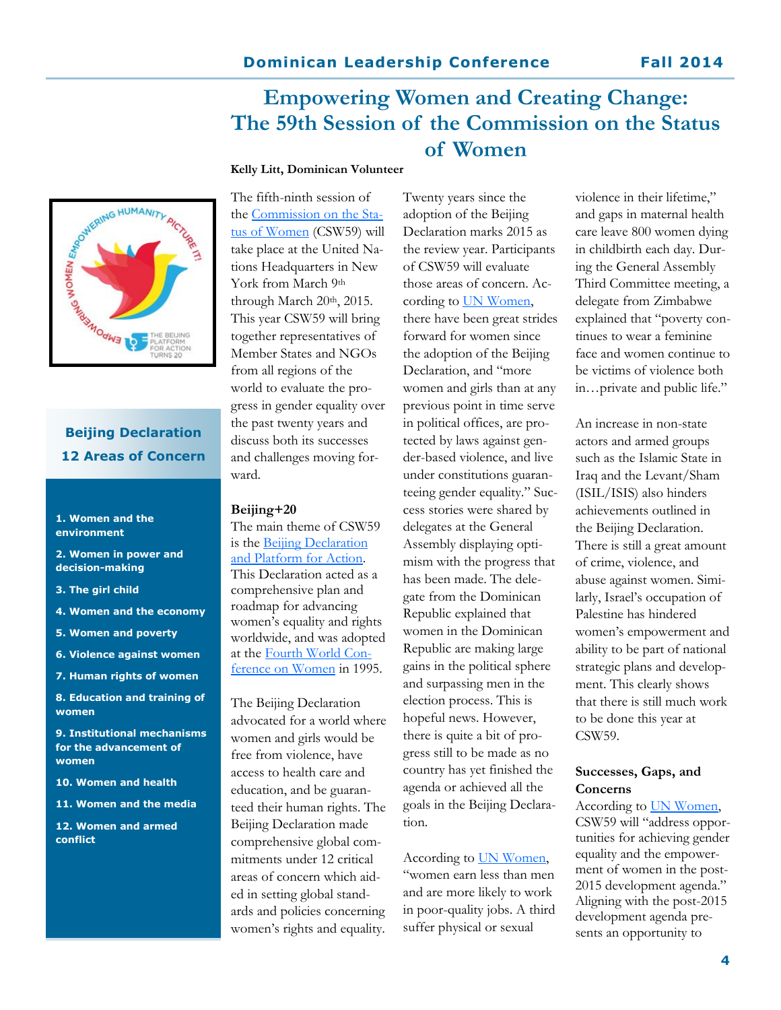## **Empowering Women and Creating Change: The 59th Session of the Commission on the Status of Women**

#### **Kelly Litt, Dominican Volunteer**



## **Beijing Declaration 12 Areas of Concern**

#### **1. Women and the environment**

**2. Women in power and decision-making**

- **3. The girl child**
- **4. Women and the economy**
- **5. Women and poverty**
- **6. Violence against women**
- **7. Human rights of women**

**8. Education and training of women**

**9. Institutional mechanisms for the advancement of women**

- **10. Women and health**
- **11. Women and the media**

**12. Women and armed conflict**

The fifth-ninth session of the [Commission on the Sta](http://www.unwomen.org/en/csw)[tus of Women](http://www.unwomen.org/en/csw) (CSW59) will take place at the United Nations Headquarters in New York from March 9<sup>th</sup> through March  $20<sup>th</sup>$ ,  $2015$ . This year CSW59 will bring together representatives of Member States and NGOs from all regions of the world to evaluate the progress in gender equality over the past twenty years and discuss both its successes and challenges moving forward.

#### **Beijing+20**

The main theme of CSW59 is the Beijing Declaration [and Platform for Action.](http://www.un.org/womenwatch/daw/beijing/platform/)  This Declaration acted as a comprehensive plan and roadmap for advancing women's equality and rights worldwide, and was adopted at the [Fourth World Con](http://www.un.org/womenwatch/daw/beijing/fwcwn.html)[ference on Women](http://www.un.org/womenwatch/daw/beijing/fwcwn.html) in 1995.

The Beijing Declaration advocated for a world where women and girls would be free from violence, have access to health care and education, and be guaranteed their human rights. The Beijing Declaration made comprehensive global commitments under 12 critical areas of concern which aided in setting global standards and policies concerning women's rights and equality.

Twenty years since the adoption of the Beijing Declaration marks 2015 as the review year. Participants of CSW59 will evaluate those areas of concern. According to UN Women, there have been great strides forward for women since the adoption of the Beijing Declaration, and "more women and girls than at any previous point in time serve in political offices, are protected by laws against gender-based violence, and live under constitutions guaranteeing gender equality." Success stories were shared by delegates at the General Assembly displaying optimism with the progress that has been made. The delegate from the Dominican Republic explained that women in the Dominican Republic are making large gains in the political sphere and surpassing men in the election process. This is hopeful news. However, there is quite a bit of progress still to be made as no country has yet finished the agenda or achieved all the goals in the Beijing Declaration.

According to [UN Women,](http://beijing20.unwomen.org/en/about)  "women earn less than men and are more likely to work in poor-quality jobs. A third suffer physical or sexual

violence in their lifetime," and gaps in maternal health care leave 800 women dying in childbirth each day. During the General Assembly Third Committee meeting, a delegate from Zimbabwe explained that "poverty continues to wear a feminine face and women continue to be victims of violence both in…private and public life."

An increase in non-state actors and armed groups such as the Islamic State in Iraq and the Levant/Sham (ISIL/ISIS) also hinders achievements outlined in the Beijing Declaration. There is still a great amount of crime, violence, and abuse against women. Similarly, Israel's occupation of Palestine has hindered women's empowerment and ability to be part of national strategic plans and development. This clearly shows that there is still much work to be done this year at CSW59.

#### **Successes, Gaps, and Concerns**

According to [UN Women,](http://www.unwomen.org/en/csw/csw59-2015)  CSW59 will "address opportunities for achieving gender equality and the empowerment of women in the post-2015 development agenda." Aligning with the post-2015 development agenda presents an opportunity to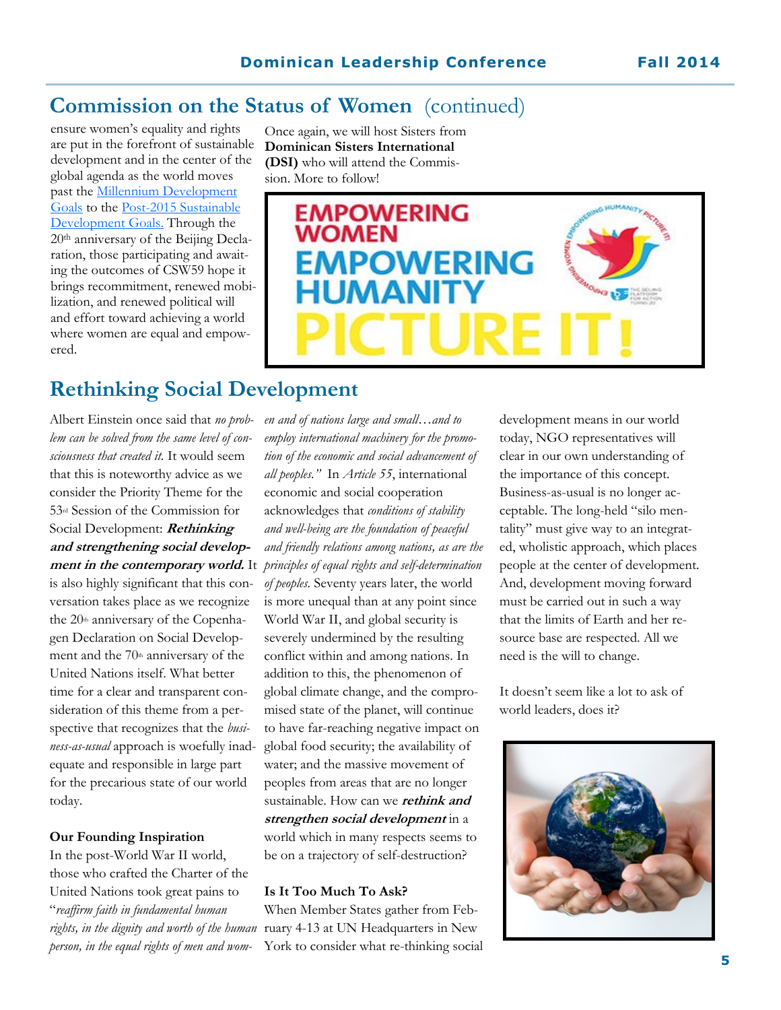## **Commission on the Status of Women** (continued)

ensure women's equality and rights are put in the forefront of sustainable development and in the center of the global agenda as the world moves past the [Millennium Development](http://www.un.org/millenniumgoals/)  [Goals](http://www.un.org/millenniumgoals/) to the [Post-2015 Sustainable](http://sustainabledevelopment.un.org/sdgsproposal.html)  [Development Goals.](http://sustainabledevelopment.un.org/sdgsproposal.html) Through the 20th anniversary of the Beijing Declaration, those participating and awaiting the outcomes of CSW59 hope it brings recommitment, renewed mobilization, and renewed political will and effort toward achieving a world where women are equal and empowered.

Once again, we will host Sisters from **Dominican Sisters International (DSI)** who will attend the Commission. More to follow!



## **Rethinking Social Development**

Albert Einstein once said that *no problem can be solved from the same level of consciousness that created it.* It would seem that this is noteworthy advice as we consider the Priority Theme for the 53rd Session of the Commission for Social Development: **Rethinking and strengthening social develop**is also highly significant that this conversation takes place as we recognize the  $20<sup>th</sup>$  anniversary of the Copenhagen Declaration on Social Development and the  $70<sup>th</sup>$  anniversary of the United Nations itself. What better time for a clear and transparent consideration of this theme from a perspective that recognizes that the *business-as-usual* approach is woefully inadequate and responsible in large part for the precarious state of our world today.

#### **Our Founding Inspiration**

In the post-World War II world, those who crafted the Charter of the United Nations took great pains to "*reaffirm faith in fundamental human person, in the equal rights of men and wom-*

**ment in the contemporary world.** It *principles of equal rights and self-determination en and of nations large and small…and to employ international machinery for the promotion of the economic and social advancement of all peoples."* In *Article 55*, international economic and social cooperation acknowledges that *conditions of stability and well-being are the foundation of peaceful and friendly relations among nations, as are the of peoples.* Seventy years later, the world is more unequal than at any point since World War II, and global security is severely undermined by the resulting conflict within and among nations. In addition to this, the phenomenon of global climate change, and the compromised state of the planet, will continue to have far-reaching negative impact on global food security; the availability of water; and the massive movement of peoples from areas that are no longer sustainable. How can we **rethink and strengthen social development** in a world which in many respects seems to be on a trajectory of self-destruction?

#### **Is It Too Much To Ask?**

rights, in the dignity and worth of the human ruary 4-13 at UN Headquarters in New When Member States gather from Feb-York to consider what re-thinking social development means in our world today, NGO representatives will clear in our own understanding of the importance of this concept. Business-as-usual is no longer acceptable. The long-held "silo mentality" must give way to an integrated, wholistic approach, which places people at the center of development. And, development moving forward must be carried out in such a way that the limits of Earth and her resource base are respected. All we need is the will to change.

It doesn't seem like a lot to ask of world leaders, does it?